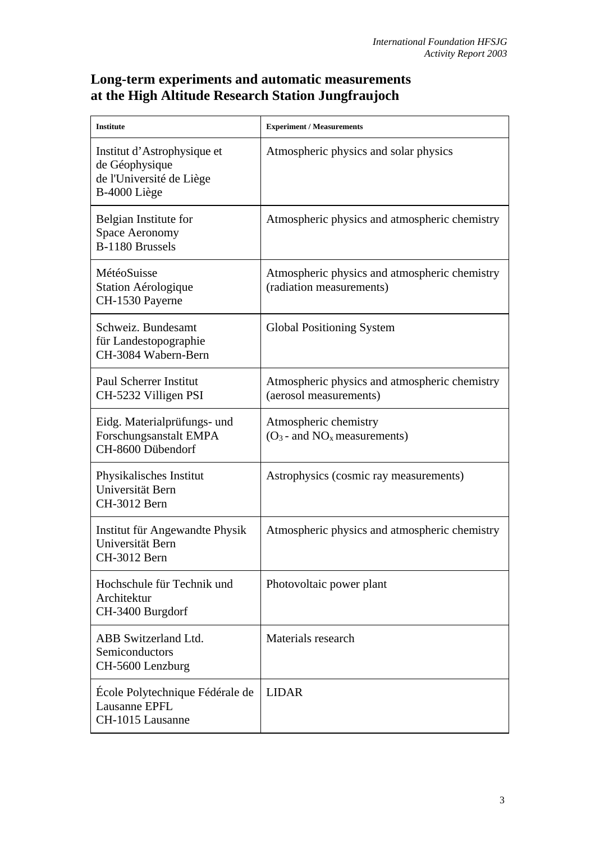## **Long-term experiments and automatic measurements at the High Altitude Research Station Jungfraujoch**

| <b>Institute</b>                                                                          | <b>Experiment / Measurements</b>                                          |
|-------------------------------------------------------------------------------------------|---------------------------------------------------------------------------|
| Institut d'Astrophysique et<br>de Géophysique<br>de l'Université de Liège<br>B-4000 Liège | Atmospheric physics and solar physics                                     |
| Belgian Institute for<br><b>Space Aeronomy</b><br>B-1180 Brussels                         | Atmospheric physics and atmospheric chemistry                             |
| MétéoSuisse<br>Station Aérologique<br>CH-1530 Payerne                                     | Atmospheric physics and atmospheric chemistry<br>(radiation measurements) |
| Schweiz. Bundesamt<br>für Landestopographie<br>CH-3084 Wabern-Bern                        | <b>Global Positioning System</b>                                          |
| <b>Paul Scherrer Institut</b><br>CH-5232 Villigen PSI                                     | Atmospheric physics and atmospheric chemistry<br>(aerosol measurements)   |
| Eidg. Materialprüfungs- und<br>Forschungsanstalt EMPA<br>CH-8600 Dübendorf                | Atmospheric chemistry<br>$(O_3$ - and $NO_x$ measurements)                |
| Physikalisches Institut<br>Universität Bern<br>CH-3012 Bern                               | Astrophysics (cosmic ray measurements)                                    |
| Institut für Angewandte Physik<br>Universität Bern<br>CH-3012 Bern                        | Atmospheric physics and atmospheric chemistry                             |
| Hochschule für Technik und<br>Architektur<br>CH-3400 Burgdorf                             | Photovoltaic power plant                                                  |
| ABB Switzerland Ltd.<br>Semiconductors<br>CH-5600 Lenzburg                                | Materials research                                                        |
| École Polytechnique Fédérale de<br>Lausanne EPFL<br>CH-1015 Lausanne                      | <b>LIDAR</b>                                                              |